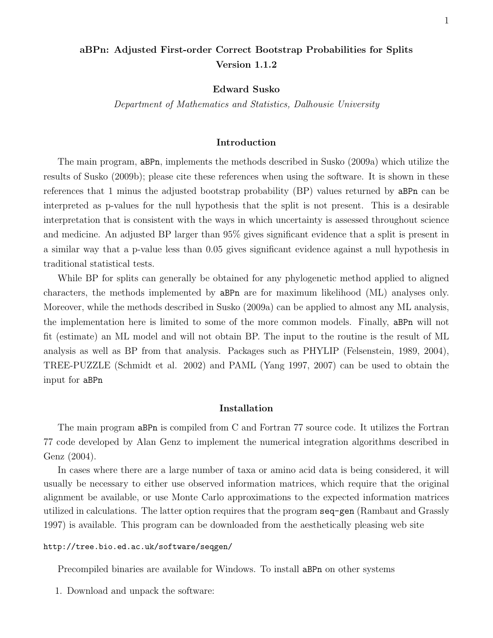# aBPn: Adjusted First-order Correct Bootstrap Probabilities for Splits Version 1.1.2

Edward Susko

Department of Mathematics and Statistics, Dalhousie University

## Introduction

The main program, aBPn, implements the methods described in Susko (2009a) which utilize the results of Susko (2009b); please cite these references when using the software. It is shown in these references that 1 minus the adjusted bootstrap probability (BP) values returned by aBPn can be interpreted as p-values for the null hypothesis that the split is not present. This is a desirable interpretation that is consistent with the ways in which uncertainty is assessed throughout science and medicine. An adjusted BP larger than 95% gives significant evidence that a split is present in a similar way that a p-value less than 0.05 gives significant evidence against a null hypothesis in traditional statistical tests.

While BP for splits can generally be obtained for any phylogenetic method applied to aligned characters, the methods implemented by aBPn are for maximum likelihood (ML) analyses only. Moreover, while the methods described in Susko (2009a) can be applied to almost any ML analysis, the implementation here is limited to some of the more common models. Finally, aBPn will not fit (estimate) an ML model and will not obtain BP. The input to the routine is the result of ML analysis as well as BP from that analysis. Packages such as PHYLIP (Felsenstein, 1989, 2004), TREE-PUZZLE (Schmidt et al. 2002) and PAML (Yang 1997, 2007) can be used to obtain the input for aBPn

### Installation

The main program aBPn is compiled from C and Fortran 77 source code. It utilizes the Fortran 77 code developed by Alan Genz to implement the numerical integration algorithms described in Genz (2004).

In cases where there are a large number of taxa or amino acid data is being considered, it will usually be necessary to either use observed information matrices, which require that the original alignment be available, or use Monte Carlo approximations to the expected information matrices utilized in calculations. The latter option requires that the program seq-gen (Rambaut and Grassly 1997) is available. This program can be downloaded from the aesthetically pleasing web site

#### http://tree.bio.ed.ac.uk/software/seqgen/

Precompiled binaries are available for Windows. To install aBPn on other systems

1. Download and unpack the software: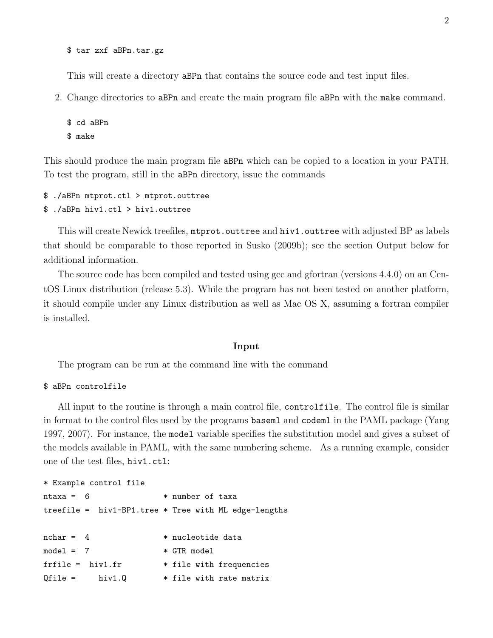\$ tar zxf aBPn.tar.gz

This will create a directory aBPn that contains the source code and test input files.

2. Change directories to aBPn and create the main program file aBPn with the make command.

```
$ cd aBPn
$ make
```
This should produce the main program file aBPn which can be copied to a location in your PATH. To test the program, still in the aBPn directory, issue the commands

```
$ ./aBPn mtprot.ctl > mtprot.outtree
$ ./aBPn hiv1.ctl > hiv1.outtree
```
This will create Newick treefiles, mtprot.outtree and hiv1.outtree with adjusted BP as labels that should be comparable to those reported in Susko (2009b); see the section Output below for additional information.

The source code has been compiled and tested using gcc and gfortran (versions 4.4.0) on an CentOS Linux distribution (release 5.3). While the program has not been tested on another platform, it should compile under any Linux distribution as well as Mac OS X, assuming a fortran compiler is installed.

### Input

The program can be run at the command line with the command

## \$ aBPn controlfile

All input to the routine is through a main control file, controlfile. The control file is similar in format to the control files used by the programs baseml and codeml in the PAML package (Yang 1997, 2007). For instance, the model variable specifies the substitution model and gives a subset of the models available in PAML, with the same numbering scheme. As a running example, consider one of the test files, hiv1.ctl:

```
* Example control file
ntaxa = 6 * number of taxa
treefile = hiv1-BP1.tree * Tree with ML edge-lengths
nchar = 4 * nucleotide data
model = 7 * GTR modelfrfile = hiv1.fr * file with frequencies
Qfile = \quad hiv1.Q \quad * file with rate matrix
```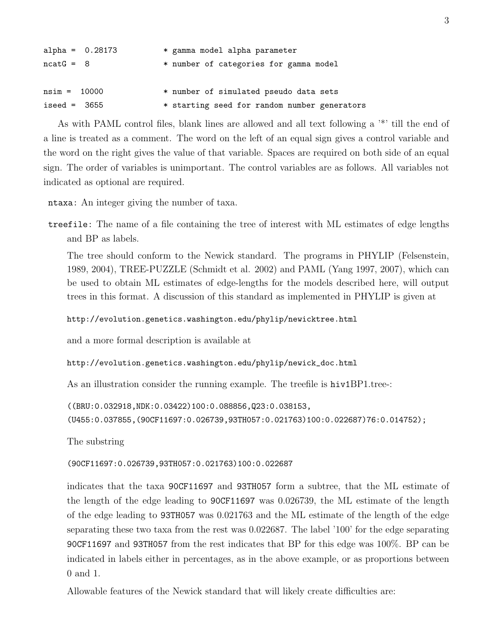| alpha = $0.28173$ | * gamma model alpha parameter                |
|-------------------|----------------------------------------------|
| $ncatG = 8$       | * number of categories for gamma model       |
| $nsim = 10000$    | * number of simulated pseudo data sets       |
| $iseed = 3655$    | * starting seed for random number generators |

As with PAML control files, blank lines are allowed and all text following a '\*' till the end of a line is treated as a comment. The word on the left of an equal sign gives a control variable and the word on the right gives the value of that variable. Spaces are required on both side of an equal sign. The order of variables is unimportant. The control variables are as follows. All variables not indicated as optional are required.

ntaxa: An integer giving the number of taxa.

treefile: The name of a file containing the tree of interest with ML estimates of edge lengths and BP as labels.

The tree should conform to the Newick standard. The programs in PHYLIP (Felsenstein, 1989, 2004), TREE-PUZZLE (Schmidt et al. 2002) and PAML (Yang 1997, 2007), which can be used to obtain ML estimates of edge-lengths for the models described here, will output trees in this format. A discussion of this standard as implemented in PHYLIP is given at

http://evolution.genetics.washington.edu/phylip/newicktree.html

and a more formal description is available at

http://evolution.genetics.washington.edu/phylip/newick\_doc.html

As an illustration consider the running example. The treefile is hiv1BP1.tree-:

```
((BRU:0.032918,NDK:0.03422)100:0.088856,Q23:0.038153,
(U455:0.037855,(90CF11697:0.026739,93TH057:0.021763)100:0.022687)76:0.014752);
```
The substring

(90CF11697:0.026739,93TH057:0.021763)100:0.022687

indicates that the taxa 90CF11697 and 93TH057 form a subtree, that the ML estimate of the length of the edge leading to 90CF11697 was 0.026739, the ML estimate of the length of the edge leading to 93TH057 was 0.021763 and the ML estimate of the length of the edge separating these two taxa from the rest was 0.022687. The label '100' for the edge separating 90CF11697 and 93TH057 from the rest indicates that BP for this edge was 100%. BP can be indicated in labels either in percentages, as in the above example, or as proportions between 0 and 1.

Allowable features of the Newick standard that will likely create difficulties are: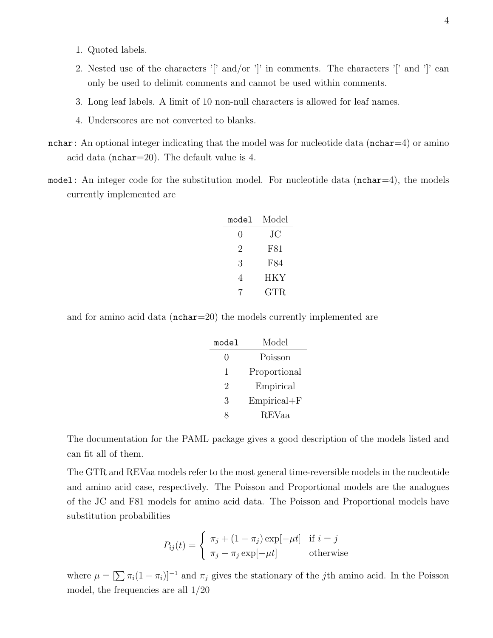- 1. Quoted labels.
- 2. Nested use of the characters '[' and/or ']' in comments. The characters '[' and ']' can only be used to delimit comments and cannot be used within comments.
- 3. Long leaf labels. A limit of 10 non-null characters is allowed for leaf names.
- 4. Underscores are not converted to blanks.
- nchar: An optional integer indicating that the model was for nucleotide data ( $nchar=4$ ) or amino acid data (nchar=20). The default value is 4.
- model: An integer code for the substitution model. For nucleotide data ( $nchar=4$ ), the models currently implemented are

| model | Model |
|-------|-------|
| 0     | JС    |
| 2     | F81   |
| 3     | F84   |
| 4     | HKY   |
|       | GTR.  |

and for amino acid data (nchar=20) the models currently implemented are

| model | Model           |
|-------|-----------------|
| 0     | Poisson         |
| 1     | Proportional    |
| 2     | Empirical       |
| 3     | $Empirical + F$ |
|       | REVaa           |

The documentation for the PAML package gives a good description of the models listed and can fit all of them.

The GTR and REVaa models refer to the most general time-reversible models in the nucleotide and amino acid case, respectively. The Poisson and Proportional models are the analogues of the JC and F81 models for amino acid data. The Poisson and Proportional models have substitution probabilities

$$
P_{ij}(t) = \begin{cases} \pi_j + (1 - \pi_j) \exp[-\mu t] & \text{if } i = j \\ \pi_j - \pi_j \exp[-\mu t] & \text{otherwise} \end{cases}
$$

where  $\mu = \left[\sum \pi_i(1 - \pi_i)\right]^{-1}$  and  $\pi_j$  gives the stationary of the *j*th amino acid. In the Poisson model, the frequencies are all 1/20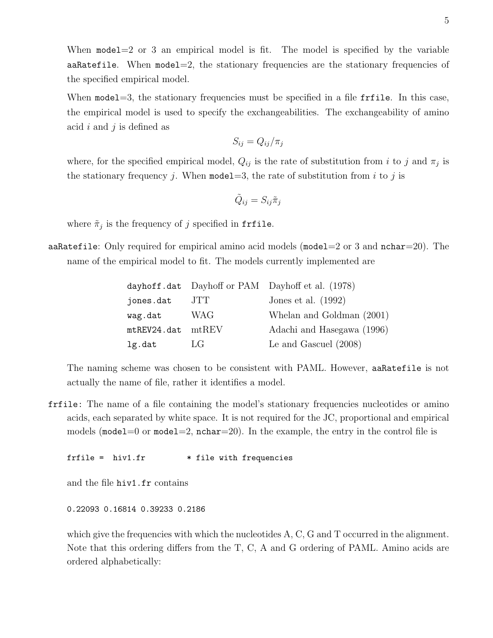When  $model=2$  or 3 an empirical model is fit. The model is specified by the variable aaRatefile. When model=2, the stationary frequencies are the stationary frequencies of the specified empirical model.

When model=3, the stationary frequencies must be specified in a file fritle. In this case, the empirical model is used to specify the exchangeabilities. The exchangeability of amino acid i and j is defined as

$$
S_{ij} = Q_{ij}/\pi_j
$$

where, for the specified empirical model,  $Q_{ij}$  is the rate of substitution from i to j and  $\pi_j$  is the stationary frequency j. When model  $=3$ , the rate of substitution from i to j is

$$
\tilde{Q}_{ij}=S_{ij}\tilde{\pi}_j
$$

where  $\tilde{\pi}_j$  is the frequency of j specified in frfile.

aaRatefile: Only required for empirical amino acid models (model=2 or 3 and  $nchar=20$ ). The name of the empirical model to fit. The models currently implemented are

|                         |      | dayhoff.dat Dayhoff or PAM Dayhoff et al. (1978) |
|-------------------------|------|--------------------------------------------------|
| jones.dat               | JTT. | Jones et al. $(1992)$                            |
| wag.dat                 | WAG  | Whelan and Goldman (2001)                        |
| $m$ tREV24.dat $m$ tREV |      | Adachi and Hasegawa (1996)                       |
| lg.dat                  | LG   | Le and Gascuel $(2008)$                          |

The naming scheme was chosen to be consistent with PAML. However, aaRatefile is not actually the name of file, rather it identifies a model.

frfile: The name of a file containing the model's stationary frequencies nucleotides or amino acids, each separated by white space. It is not required for the JC, proportional and empirical models (model=0 or model=2, nchar=20). In the example, the entry in the control file is

 $f$ rfile = hiv1.fr  $*$  file with frequencies

and the file hiv1.fr contains

0.22093 0.16814 0.39233 0.2186

which give the frequencies with which the nucleotides A, C, G and T occurred in the alignment. Note that this ordering differs from the T, C, A and G ordering of PAML. Amino acids are ordered alphabetically: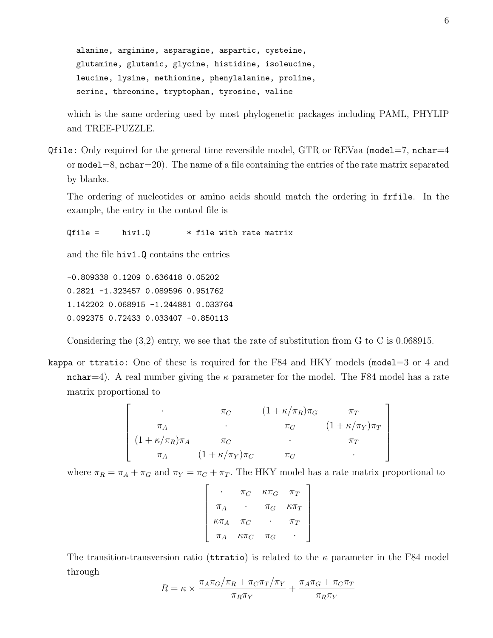alanine, arginine, asparagine, aspartic, cysteine, glutamine, glutamic, glycine, histidine, isoleucine, leucine, lysine, methionine, phenylalanine, proline, serine, threonine, tryptophan, tyrosine, valine

which is the same ordering used by most phylogenetic packages including PAML, PHYLIP and TREE-PUZZLE.

Qfile: Only required for the general time reversible model, GTR or REVaa (model=7, nchar=4 or  $\text{model}=8$ ,  $\text{nchar}=20$ ). The name of a file containing the entries of the rate matrix separated by blanks.

The ordering of nucleotides or amino acids should match the ordering in frfile. In the example, the entry in the control file is

 $Qfile = \quad hiv1.Q \quad * file with rate matrix$ 

and the file hiv1.Q contains the entries

-0.809338 0.1209 0.636418 0.05202 0.2821 -1.323457 0.089596 0.951762 1.142202 0.068915 -1.244881 0.033764 0.092375 0.72433 0.033407 -0.850113

Considering the (3,2) entry, we see that the rate of substitution from G to C is 0.068915.

kappa or ttratio: One of these is required for the F84 and HKY models (model=3 or 4 and nchar=4). A real number giving the  $\kappa$  parameter for the model. The F84 model has a rate matrix proportional to

$$
\begin{bmatrix}\n\cdot & \pi_C & (1 + \kappa/\pi_R)\pi_G & \pi_T \\
\pi_A & \cdot & \pi_G & (1 + \kappa/\pi_Y)\pi_T \\
(1 + \kappa/\pi_R)\pi_A & \pi_C & \cdot & \pi_T \\
\pi_A & (1 + \kappa/\pi_Y)\pi_C & \pi_G & \cdot\n\end{bmatrix}
$$

where  $\pi_R = \pi_A + \pi_G$  and  $\pi_Y = \pi_C + \pi_T$ . The HKY model has a rate matrix proportional to

$$
\begin{bmatrix}\n\cdot & \pi_C & \kappa \pi_G & \pi_T \\
\pi_A & \cdot & \pi_G & \kappa \pi_T \\
\kappa \pi_A & \pi_C & \cdot & \pi_T \\
\pi_A & \kappa \pi_C & \pi_G & \cdot\n\end{bmatrix}
$$

The transition-transversion ratio (territories) is related to the  $\kappa$  parameter in the F84 model through

$$
R = \kappa \times \frac{\pi_A \pi_G / \pi_R + \pi_C \pi_T / \pi_Y}{\pi_R \pi_Y} + \frac{\pi_A \pi_G + \pi_C \pi_T}{\pi_R \pi_Y}
$$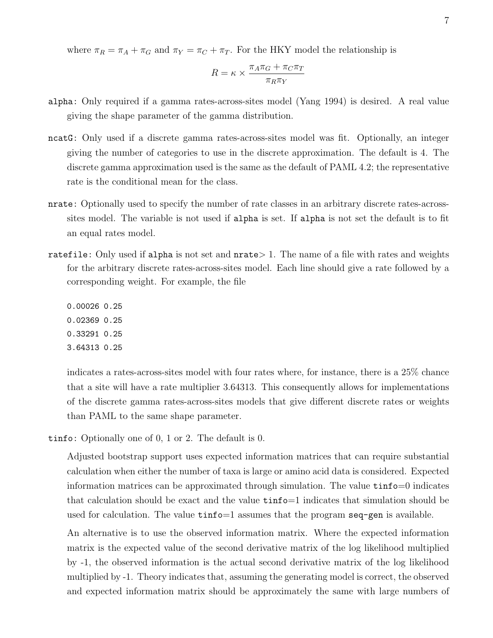where  $\pi_R = \pi_A + \pi_G$  and  $\pi_Y = \pi_C + \pi_T$ . For the HKY model the relationship is

$$
R = \kappa \times \frac{\pi_A \pi_G + \pi_C \pi_T}{\pi_R \pi_Y}
$$

- alpha: Only required if a gamma rates-across-sites model (Yang 1994) is desired. A real value giving the shape parameter of the gamma distribution.
- ncatG: Only used if a discrete gamma rates-across-sites model was fit. Optionally, an integer giving the number of categories to use in the discrete approximation. The default is 4. The discrete gamma approximation used is the same as the default of PAML 4.2; the representative rate is the conditional mean for the class.
- nrate: Optionally used to specify the number of rate classes in an arbitrary discrete rates-acrosssites model. The variable is not used if alpha is set. If alpha is not set the default is to fit an equal rates model.
- ratefile: Only used if alpha is not set and nrate > 1. The name of a file with rates and weights for the arbitrary discrete rates-across-sites model. Each line should give a rate followed by a corresponding weight. For example, the file
	- 0.00026 0.25 0.02369 0.25 0.33291 0.25
	- 3.64313 0.25

indicates a rates-across-sites model with four rates where, for instance, there is a 25% chance that a site will have a rate multiplier 3.64313. This consequently allows for implementations of the discrete gamma rates-across-sites models that give different discrete rates or weights than PAML to the same shape parameter.

tinfo: Optionally one of 0, 1 or 2. The default is 0.

Adjusted bootstrap support uses expected information matrices that can require substantial calculation when either the number of taxa is large or amino acid data is considered. Expected information matrices can be approximated through simulation. The value tinfo=0 indicates that calculation should be exact and the value tinfo=1 indicates that simulation should be used for calculation. The value  $\tan\theta=1$  assumes that the program seq-gen is available.

An alternative is to use the observed information matrix. Where the expected information matrix is the expected value of the second derivative matrix of the log likelihood multiplied by -1, the observed information is the actual second derivative matrix of the log likelihood multiplied by -1. Theory indicates that, assuming the generating model is correct, the observed and expected information matrix should be approximately the same with large numbers of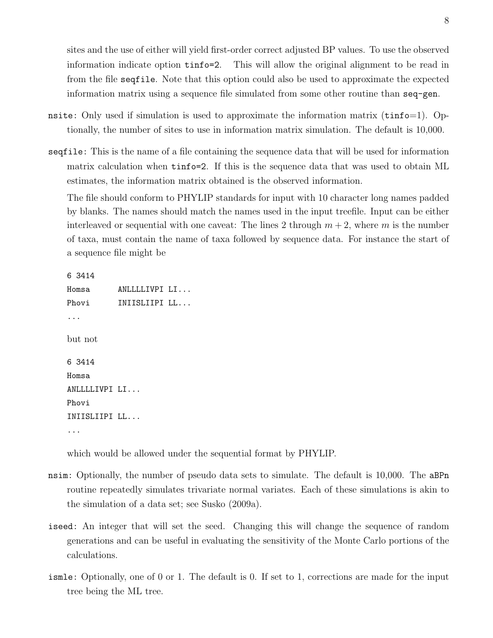sites and the use of either will yield first-order correct adjusted BP values. To use the observed information indicate option tinfo=2. This will allow the original alignment to be read in from the file seqfile. Note that this option could also be used to approximate the expected information matrix using a sequence file simulated from some other routine than seq-gen.

- nsite: Only used if simulation is used to approximate the information matrix  $(tinfo=1)$ . Optionally, the number of sites to use in information matrix simulation. The default is 10,000.
- seqfile: This is the name of a file containing the sequence data that will be used for information matrix calculation when tinfo=2. If this is the sequence data that was used to obtain ML estimates, the information matrix obtained is the observed information.

The file should conform to PHYLIP standards for input with 10 character long names padded by blanks. The names should match the names used in the input treefile. Input can be either interleaved or sequential with one caveat: The lines 2 through  $m + 2$ , where m is the number of taxa, must contain the name of taxa followed by sequence data. For instance the start of a sequence file might be

```
6 3414
Homsa ANLLLLIVPI LI...
Phovi INIISLIIPI LL...
...
but not
6 3414
Homsa
ANLLLLIVPI LI...
Phovi
INIISLIIPI LL...
...
```
which would be allowed under the sequential format by PHYLIP.

- nsim: Optionally, the number of pseudo data sets to simulate. The default is 10,000. The aBPn routine repeatedly simulates trivariate normal variates. Each of these simulations is akin to the simulation of a data set; see Susko (2009a).
- iseed: An integer that will set the seed. Changing this will change the sequence of random generations and can be useful in evaluating the sensitivity of the Monte Carlo portions of the calculations.
- ismle: Optionally, one of 0 or 1. The default is 0. If set to 1, corrections are made for the input tree being the ML tree.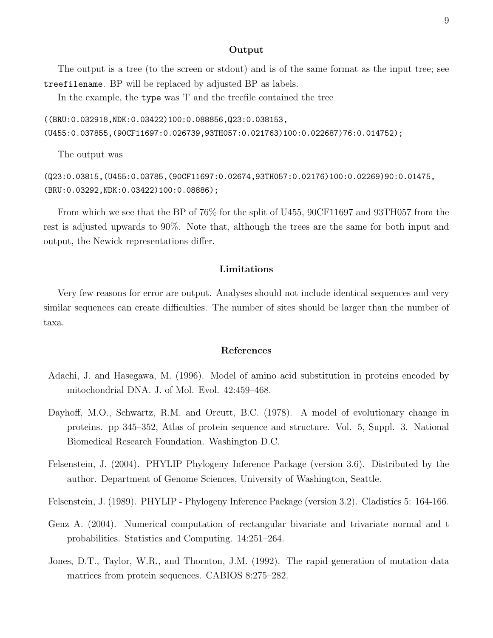### Output

The output is a tree (to the screen or stdout) and is of the same format as the input tree; see treefilename. BP will be replaced by adjusted BP as labels.

In the example, the **type** was 'l' and the treefile contained the tree

```
((BRU:0.032918,NDK:0.03422)100:0.088856,Q23:0.038153,
(U455:0.037855,(90CF11697:0.026739,93TH057:0.021763)100:0.022687)76:0.014752);
```
The output was

(Q23:0.03815,(U455:0.03785,(90CF11697:0.02674,93TH057:0.02176)100:0.02269)90:0.01475, (BRU:0.03292,NDK:0.03422)100:0.08886);

From which we see that the BP of 76% for the split of U455, 90CF11697 and 93TH057 from the rest is adjusted upwards to 90%. Note that, although the trees are the same for both input and output, the Newick representations differ.

## Limitations

Very few reasons for error are output. Analyses should not include identical sequences and very similar sequences can create difficulties. The number of sites should be larger than the number of taxa.

## References

- Adachi, J. and Hasegawa, M. (1996). Model of amino acid substitution in proteins encoded by mitochondrial DNA. J. of Mol. Evol. 42:459–468.
- Dayhoff, M.O., Schwartz, R.M. and Orcutt, B.C. (1978). A model of evolutionary change in proteins. pp 345–352, Atlas of protein sequence and structure. Vol. 5, Suppl. 3. National Biomedical Research Foundation. Washington D.C.
- Felsenstein, J. (2004). PHYLIP Phylogeny Inference Package (version 3.6). Distributed by the author. Department of Genome Sciences, University of Washington, Seattle.
- Felsenstein, J. (1989). PHYLIP Phylogeny Inference Package (version 3.2). Cladistics 5: 164-166.
- Genz A. (2004). Numerical computation of rectangular bivariate and trivariate normal and t probabilities. Statistics and Computing. 14:251–264.
- Jones, D.T., Taylor, W.R., and Thornton, J.M. (1992). The rapid generation of mutation data matrices from protein sequences. CABIOS 8:275–282.